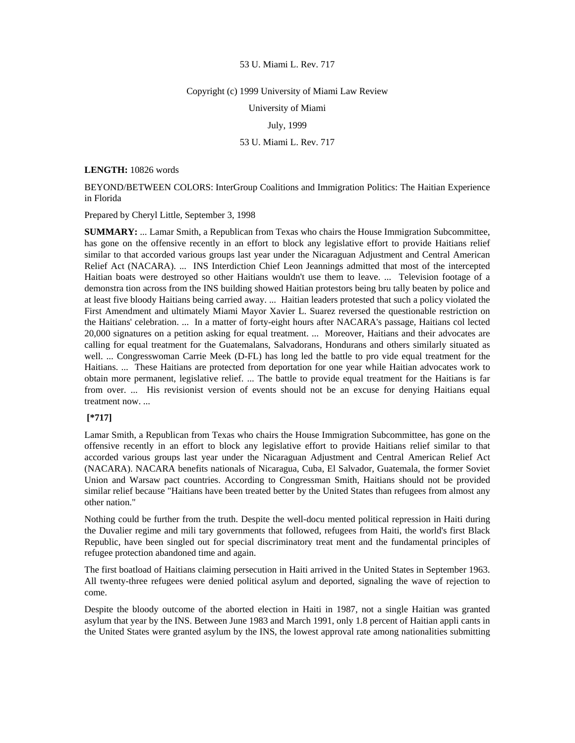## Copyright (c) 1999 University of Miami Law Review

University of Miami

# July, 1999

## 53 U. Miami L. Rev. 717

## **LENGTH:** 10826 words

BEYOND/BETWEEN COLORS: InterGroup Coalitions and Immigration Politics: The Haitian Experience in Florida

Prepared by Cheryl Little, September 3, 1998

**SUMMARY:** ... Lamar Smith, a Republican from Texas who chairs the House Immigration Subcommittee, has gone on the offensive recently in an effort to block any legislative effort to provide Haitians relief similar to that accorded various groups last year under the Nicaraguan Adjustment and Central American Relief Act (NACARA). ... INS Interdiction Chief Leon Jeannings admitted that most of the intercepted Haitian boats were destroyed so other Haitians wouldn't use them to leave. ... Television footage of a demonstra tion across from the INS building showed Haitian protestors being bru tally beaten by police and at least five bloody Haitians being carried away. ... Haitian leaders protested that such a policy violated the First Amendment and ultimately Miami Mayor Xavier L. Suarez reversed the questionable restriction on the Haitians' celebration. ... In a matter of forty-eight hours after NACARA's passage, Haitians col lected 20,000 signatures on a petition asking for equal treatment. ... Moreover, Haitians and their advocates are calling for equal treatment for the Guatemalans, Salvadorans, Hondurans and others similarly situated as well. ... Congresswoman Carrie Meek (D-FL) has long led the battle to pro vide equal treatment for the Haitians. ... These Haitians are protected from deportation for one year while Haitian advocates work to obtain more permanent, legislative relief. ... The battle to provide equal treatment for the Haitians is far from over. ... His revisionist version of events should not be an excuse for denying Haitians equal treatment now. ...

## **[\*717]**

Lamar Smith, a Republican from Texas who chairs the House Immigration Subcommittee, has gone on the offensive recently in an effort to block any legislative effort to provide Haitians relief similar to that accorded various groups last year under the Nicaraguan Adjustment and Central American Relief Act (NACARA). NACARA benefits nationals of Nicaragua, Cuba, El Salvador, Guatemala, the former Soviet Union and Warsaw pact countries. According to Congressman Smith, Haitians should not be provided similar relief because "Haitians have been treated better by the United States than refugees from almost any other nation."

Nothing could be further from the truth. Despite the well-docu mented political repression in Haiti during the Duvalier regime and mili tary governments that followed, refugees from Haiti, the world's first Black Republic, have been singled out for special discriminatory treat ment and the fundamental principles of refugee protection abandoned time and again.

The first boatload of Haitians claiming persecution in Haiti arrived in the United States in September 1963. All twenty-three refugees were denied political asylum and deported, signaling the wave of rejection to come.

Despite the bloody outcome of the aborted election in Haiti in 1987, not a single Haitian was granted asylum that year by the INS. Between June 1983 and March 1991, only 1.8 percent of Haitian appli cants in the United States were granted asylum by the INS, the lowest approval rate among nationalities submitting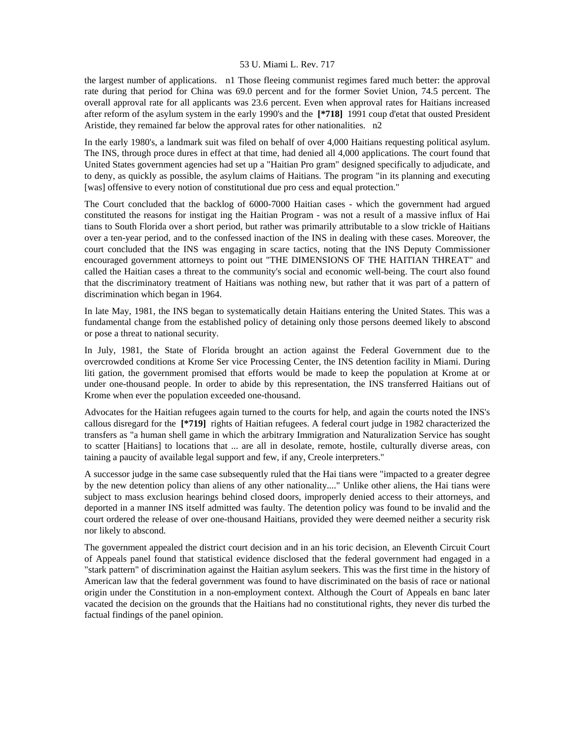the largest number of applications. n1 Those fleeing communist regimes fared much better: the approval rate during that period for China was 69.0 percent and for the former Soviet Union, 74.5 percent. The overall approval rate for all applicants was 23.6 percent. Even when approval rates for Haitians increased after reform of the asylum system in the early 1990's and the **[\*718]** 1991 coup d'etat that ousted President Aristide, they remained far below the approval rates for other nationalities. n2

In the early 1980's, a landmark suit was filed on behalf of over 4,000 Haitians requesting political asylum. The INS, through proce dures in effect at that time, had denied all 4,000 applications. The court found that United States government agencies had set up a "Haitian Pro gram" designed specifically to adjudicate, and to deny, as quickly as possible, the asylum claims of Haitians. The program "in its planning and executing [was] offensive to every notion of constitutional due pro cess and equal protection."

The Court concluded that the backlog of 6000-7000 Haitian cases - which the government had argued constituted the reasons for instigat ing the Haitian Program - was not a result of a massive influx of Hai tians to South Florida over a short period, but rather was primarily attributable to a slow trickle of Haitians over a ten-year period, and to the confessed inaction of the INS in dealing with these cases. Moreover, the court concluded that the INS was engaging in scare tactics, noting that the INS Deputy Commissioner encouraged government attorneys to point out "THE DIMENSIONS OF THE HAITIAN THREAT" and called the Haitian cases a threat to the community's social and economic well-being. The court also found that the discriminatory treatment of Haitians was nothing new, but rather that it was part of a pattern of discrimination which began in 1964.

In late May, 1981, the INS began to systematically detain Haitians entering the United States. This was a fundamental change from the established policy of detaining only those persons deemed likely to abscond or pose a threat to national security.

In July, 1981, the State of Florida brought an action against the Federal Government due to the overcrowded conditions at Krome Ser vice Processing Center, the INS detention facility in Miami. During liti gation, the government promised that efforts would be made to keep the population at Krome at or under one-thousand people. In order to abide by this representation, the INS transferred Haitians out of Krome when ever the population exceeded one-thousand.

Advocates for the Haitian refugees again turned to the courts for help, and again the courts noted the INS's callous disregard for the **[\*719]** rights of Haitian refugees. A federal court judge in 1982 characterized the transfers as "a human shell game in which the arbitrary Immigration and Naturalization Service has sought to scatter [Haitians] to locations that ... are all in desolate, remote, hostile, culturally diverse areas, con taining a paucity of available legal support and few, if any, Creole interpreters."

A successor judge in the same case subsequently ruled that the Hai tians were "impacted to a greater degree by the new detention policy than aliens of any other nationality...." Unlike other aliens, the Hai tians were subject to mass exclusion hearings behind closed doors, improperly denied access to their attorneys, and deported in a manner INS itself admitted was faulty. The detention policy was found to be invalid and the court ordered the release of over one-thousand Haitians, provided they were deemed neither a security risk nor likely to abscond.

The government appealed the district court decision and in an his toric decision, an Eleventh Circuit Court of Appeals panel found that statistical evidence disclosed that the federal government had engaged in a "stark pattern" of discrimination against the Haitian asylum seekers. This was the first time in the history of American law that the federal government was found to have discriminated on the basis of race or national origin under the Constitution in a non-employment context. Although the Court of Appeals en banc later vacated the decision on the grounds that the Haitians had no constitutional rights, they never dis turbed the factual findings of the panel opinion.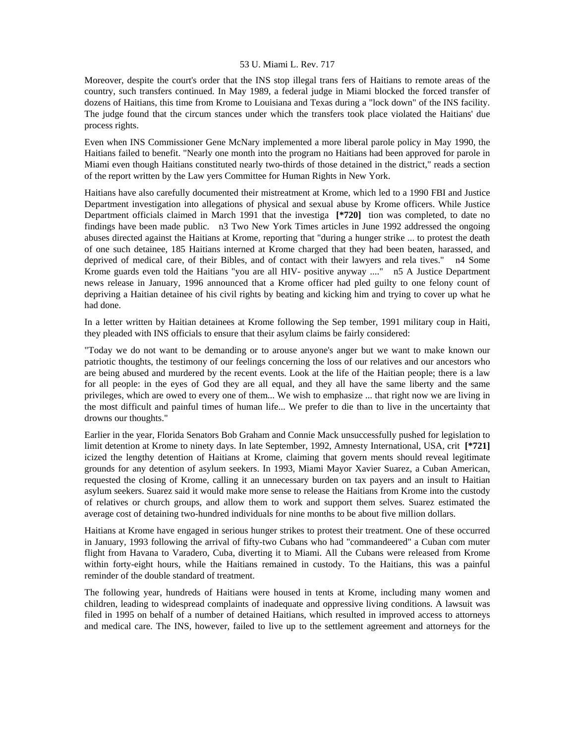Moreover, despite the court's order that the INS stop illegal trans fers of Haitians to remote areas of the country, such transfers continued. In May 1989, a federal judge in Miami blocked the forced transfer of dozens of Haitians, this time from Krome to Louisiana and Texas during a "lock down" of the INS facility. The judge found that the circum stances under which the transfers took place violated the Haitians' due process rights.

Even when INS Commissioner Gene McNary implemented a more liberal parole policy in May 1990, the Haitians failed to benefit. "Nearly one month into the program no Haitians had been approved for parole in Miami even though Haitians constituted nearly two-thirds of those detained in the district," reads a section of the report written by the Law yers Committee for Human Rights in New York.

Haitians have also carefully documented their mistreatment at Krome, which led to a 1990 FBI and Justice Department investigation into allegations of physical and sexual abuse by Krome officers. While Justice Department officials claimed in March 1991 that the investiga **[\*720]** tion was completed, to date no findings have been made public. n3 Two New York Times articles in June 1992 addressed the ongoing abuses directed against the Haitians at Krome, reporting that "during a hunger strike ... to protest the death of one such detainee, 185 Haitians interned at Krome charged that they had been beaten, harassed, and deprived of medical care, of their Bibles, and of contact with their lawyers and rela tives." n4 Some Krome guards even told the Haitians "you are all HIV- positive anyway ...." n5 A Justice Department news release in January, 1996 announced that a Krome officer had pled guilty to one felony count of depriving a Haitian detainee of his civil rights by beating and kicking him and trying to cover up what he had done.

In a letter written by Haitian detainees at Krome following the Sep tember, 1991 military coup in Haiti, they pleaded with INS officials to ensure that their asylum claims be fairly considered:

"Today we do not want to be demanding or to arouse anyone's anger but we want to make known our patriotic thoughts, the testimony of our feelings concerning the loss of our relatives and our ancestors who are being abused and murdered by the recent events. Look at the life of the Haitian people; there is a law for all people: in the eyes of God they are all equal, and they all have the same liberty and the same privileges, which are owed to every one of them... We wish to emphasize ... that right now we are living in the most difficult and painful times of human life... We prefer to die than to live in the uncertainty that drowns our thoughts."

Earlier in the year, Florida Senators Bob Graham and Connie Mack unsuccessfully pushed for legislation to limit detention at Krome to ninety days. In late September, 1992, Amnesty International, USA, crit **[\*721]**  icized the lengthy detention of Haitians at Krome, claiming that govern ments should reveal legitimate grounds for any detention of asylum seekers. In 1993, Miami Mayor Xavier Suarez, a Cuban American, requested the closing of Krome, calling it an unnecessary burden on tax payers and an insult to Haitian asylum seekers. Suarez said it would make more sense to release the Haitians from Krome into the custody of relatives or church groups, and allow them to work and support them selves. Suarez estimated the average cost of detaining two-hundred individuals for nine months to be about five million dollars.

Haitians at Krome have engaged in serious hunger strikes to protest their treatment. One of these occurred in January, 1993 following the arrival of fifty-two Cubans who had "commandeered" a Cuban com muter flight from Havana to Varadero, Cuba, diverting it to Miami. All the Cubans were released from Krome within forty-eight hours, while the Haitians remained in custody. To the Haitians, this was a painful reminder of the double standard of treatment.

The following year, hundreds of Haitians were housed in tents at Krome, including many women and children, leading to widespread complaints of inadequate and oppressive living conditions. A lawsuit was filed in 1995 on behalf of a number of detained Haitians, which resulted in improved access to attorneys and medical care. The INS, however, failed to live up to the settlement agreement and attorneys for the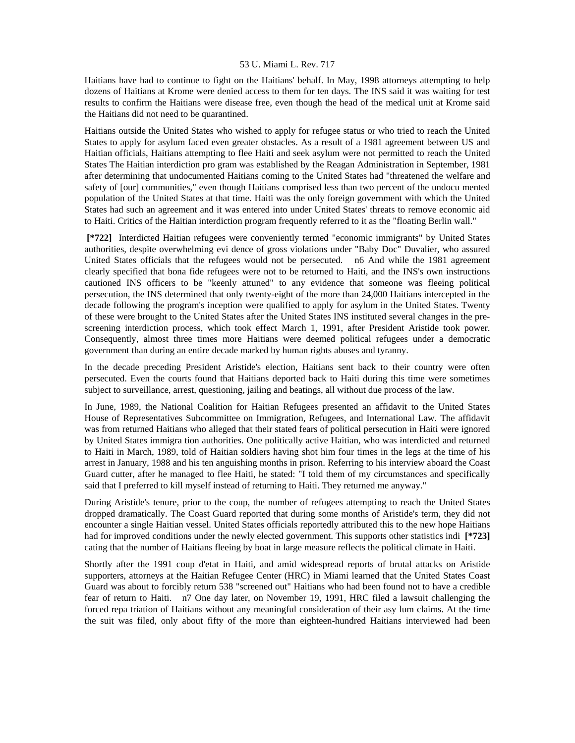Haitians have had to continue to fight on the Haitians' behalf. In May, 1998 attorneys attempting to help dozens of Haitians at Krome were denied access to them for ten days. The INS said it was waiting for test results to confirm the Haitians were disease free, even though the head of the medical unit at Krome said the Haitians did not need to be quarantined.

Haitians outside the United States who wished to apply for refugee status or who tried to reach the United States to apply for asylum faced even greater obstacles. As a result of a 1981 agreement between US and Haitian officials, Haitians attempting to flee Haiti and seek asylum were not permitted to reach the United States The Haitian interdiction pro gram was established by the Reagan Administration in September, 1981 after determining that undocumented Haitians coming to the United States had "threatened the welfare and safety of [our] communities," even though Haitians comprised less than two percent of the undocu mented population of the United States at that time. Haiti was the only foreign government with which the United States had such an agreement and it was entered into under United States' threats to remove economic aid to Haiti. Critics of the Haitian interdiction program frequently referred to it as the "floating Berlin wall."

 **[\*722]** Interdicted Haitian refugees were conveniently termed "economic immigrants" by United States authorities, despite overwhelming evi dence of gross violations under "Baby Doc" Duvalier, who assured United States officials that the refugees would not be persecuted. n6 And while the 1981 agreement clearly specified that bona fide refugees were not to be returned to Haiti, and the INS's own instructions cautioned INS officers to be "keenly attuned" to any evidence that someone was fleeing political persecution, the INS determined that only twenty-eight of the more than 24,000 Haitians intercepted in the decade following the program's inception were qualified to apply for asylum in the United States. Twenty of these were brought to the United States after the United States INS instituted several changes in the prescreening interdiction process, which took effect March 1, 1991, after President Aristide took power. Consequently, almost three times more Haitians were deemed political refugees under a democratic government than during an entire decade marked by human rights abuses and tyranny.

In the decade preceding President Aristide's election, Haitians sent back to their country were often persecuted. Even the courts found that Haitians deported back to Haiti during this time were sometimes subject to surveillance, arrest, questioning, jailing and beatings, all without due process of the law.

In June, 1989, the National Coalition for Haitian Refugees presented an affidavit to the United States House of Representatives Subcommittee on Immigration, Refugees, and International Law. The affidavit was from returned Haitians who alleged that their stated fears of political persecution in Haiti were ignored by United States immigra tion authorities. One politically active Haitian, who was interdicted and returned to Haiti in March, 1989, told of Haitian soldiers having shot him four times in the legs at the time of his arrest in January, 1988 and his ten anguishing months in prison. Referring to his interview aboard the Coast Guard cutter, after he managed to flee Haiti, he stated: "I told them of my circumstances and specifically said that I preferred to kill myself instead of returning to Haiti. They returned me anyway."

During Aristide's tenure, prior to the coup, the number of refugees attempting to reach the United States dropped dramatically. The Coast Guard reported that during some months of Aristide's term, they did not encounter a single Haitian vessel. United States officials reportedly attributed this to the new hope Haitians had for improved conditions under the newly elected government. This supports other statistics indi **[\*723]**  cating that the number of Haitians fleeing by boat in large measure reflects the political climate in Haiti.

Shortly after the 1991 coup d'etat in Haiti, and amid widespread reports of brutal attacks on Aristide supporters, attorneys at the Haitian Refugee Center (HRC) in Miami learned that the United States Coast Guard was about to forcibly return 538 "screened out" Haitians who had been found not to have a credible fear of return to Haiti. n7 One day later, on November 19, 1991, HRC filed a lawsuit challenging the forced repa triation of Haitians without any meaningful consideration of their asy lum claims. At the time the suit was filed, only about fifty of the more than eighteen-hundred Haitians interviewed had been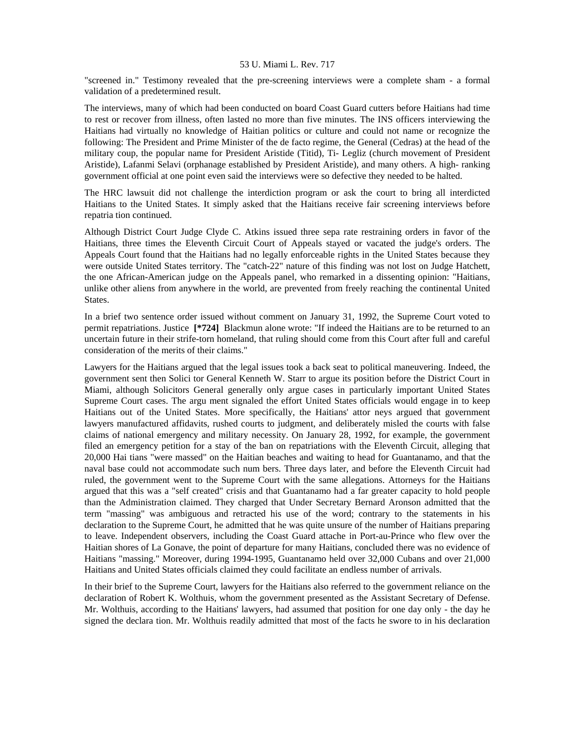"screened in." Testimony revealed that the pre-screening interviews were a complete sham - a formal validation of a predetermined result.

The interviews, many of which had been conducted on board Coast Guard cutters before Haitians had time to rest or recover from illness, often lasted no more than five minutes. The INS officers interviewing the Haitians had virtually no knowledge of Haitian politics or culture and could not name or recognize the following: The President and Prime Minister of the de facto regime, the General (Cedras) at the head of the military coup, the popular name for President Aristide (Titid), Ti- Legliz (church movement of President Aristide), Lafanmi Selavi (orphanage established by President Aristide), and many others. A high- ranking government official at one point even said the interviews were so defective they needed to be halted.

The HRC lawsuit did not challenge the interdiction program or ask the court to bring all interdicted Haitians to the United States. It simply asked that the Haitians receive fair screening interviews before repatria tion continued.

Although District Court Judge Clyde C. Atkins issued three sepa rate restraining orders in favor of the Haitians, three times the Eleventh Circuit Court of Appeals stayed or vacated the judge's orders. The Appeals Court found that the Haitians had no legally enforceable rights in the United States because they were outside United States territory. The "catch-22" nature of this finding was not lost on Judge Hatchett, the one African-American judge on the Appeals panel, who remarked in a dissenting opinion: "Haitians, unlike other aliens from anywhere in the world, are prevented from freely reaching the continental United States.

In a brief two sentence order issued without comment on January 31, 1992, the Supreme Court voted to permit repatriations. Justice **[\*724]** Blackmun alone wrote: "If indeed the Haitians are to be returned to an uncertain future in their strife-torn homeland, that ruling should come from this Court after full and careful consideration of the merits of their claims."

Lawyers for the Haitians argued that the legal issues took a back seat to political maneuvering. Indeed, the government sent then Solici tor General Kenneth W. Starr to argue its position before the District Court in Miami, although Solicitors General generally only argue cases in particularly important United States Supreme Court cases. The argu ment signaled the effort United States officials would engage in to keep Haitians out of the United States. More specifically, the Haitians' attor neys argued that government lawyers manufactured affidavits, rushed courts to judgment, and deliberately misled the courts with false claims of national emergency and military necessity. On January 28, 1992, for example, the government filed an emergency petition for a stay of the ban on repatriations with the Eleventh Circuit, alleging that 20,000 Hai tians "were massed" on the Haitian beaches and waiting to head for Guantanamo, and that the naval base could not accommodate such num bers. Three days later, and before the Eleventh Circuit had ruled, the government went to the Supreme Court with the same allegations. Attorneys for the Haitians argued that this was a "self created" crisis and that Guantanamo had a far greater capacity to hold people than the Administration claimed. They charged that Under Secretary Bernard Aronson admitted that the term "massing" was ambiguous and retracted his use of the word; contrary to the statements in his declaration to the Supreme Court, he admitted that he was quite unsure of the number of Haitians preparing to leave. Independent observers, including the Coast Guard attache in Port-au-Prince who flew over the Haitian shores of La Gonave, the point of departure for many Haitians, concluded there was no evidence of Haitians "massing." Moreover, during 1994-1995, Guantanamo held over 32,000 Cubans and over 21,000 Haitians and United States officials claimed they could facilitate an endless number of arrivals.

In their brief to the Supreme Court, lawyers for the Haitians also referred to the government reliance on the declaration of Robert K. Wolthuis, whom the government presented as the Assistant Secretary of Defense. Mr. Wolthuis, according to the Haitians' lawyers, had assumed that position for one day only - the day he signed the declara tion. Mr. Wolthuis readily admitted that most of the facts he swore to in his declaration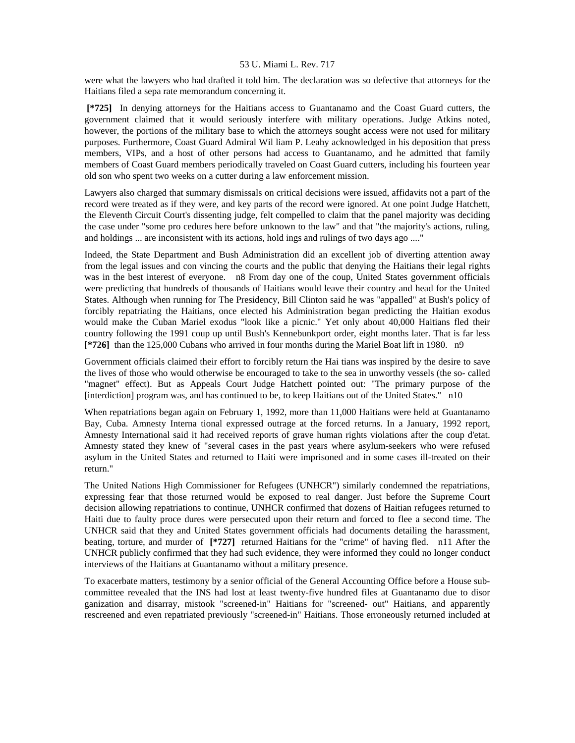were what the lawyers who had drafted it told him. The declaration was so defective that attorneys for the Haitians filed a sepa rate memorandum concerning it.

 **[\*725]** In denying attorneys for the Haitians access to Guantanamo and the Coast Guard cutters, the government claimed that it would seriously interfere with military operations. Judge Atkins noted, however, the portions of the military base to which the attorneys sought access were not used for military purposes. Furthermore, Coast Guard Admiral Wil liam P. Leahy acknowledged in his deposition that press members, VIPs, and a host of other persons had access to Guantanamo, and he admitted that family members of Coast Guard members periodically traveled on Coast Guard cutters, including his fourteen year old son who spent two weeks on a cutter during a law enforcement mission.

Lawyers also charged that summary dismissals on critical decisions were issued, affidavits not a part of the record were treated as if they were, and key parts of the record were ignored. At one point Judge Hatchett, the Eleventh Circuit Court's dissenting judge, felt compelled to claim that the panel majority was deciding the case under "some pro cedures here before unknown to the law" and that "the majority's actions, ruling, and holdings ... are inconsistent with its actions, hold ings and rulings of two days ago ...."

Indeed, the State Department and Bush Administration did an excellent job of diverting attention away from the legal issues and con vincing the courts and the public that denying the Haitians their legal rights was in the best interest of everyone. n8 From day one of the coup, United States government officials were predicting that hundreds of thousands of Haitians would leave their country and head for the United States. Although when running for The Presidency, Bill Clinton said he was "appalled" at Bush's policy of forcibly repatriating the Haitians, once elected his Administration began predicting the Haitian exodus would make the Cuban Mariel exodus "look like a picnic." Yet only about 40,000 Haitians fled their country following the 1991 coup up until Bush's Kennebunkport order, eight months later. That is far less **[\*726]** than the 125,000 Cubans who arrived in four months during the Mariel Boat lift in 1980. n9

Government officials claimed their effort to forcibly return the Hai tians was inspired by the desire to save the lives of those who would otherwise be encouraged to take to the sea in unworthy vessels (the so- called "magnet" effect). But as Appeals Court Judge Hatchett pointed out: "The primary purpose of the [interdiction] program was, and has continued to be, to keep Haitians out of the United States." n10

When repatriations began again on February 1, 1992, more than 11,000 Haitians were held at Guantanamo Bay, Cuba. Amnesty Interna tional expressed outrage at the forced returns. In a January, 1992 report, Amnesty International said it had received reports of grave human rights violations after the coup d'etat. Amnesty stated they knew of "several cases in the past years where asylum-seekers who were refused asylum in the United States and returned to Haiti were imprisoned and in some cases ill-treated on their return."

The United Nations High Commissioner for Refugees (UNHCR") similarly condemned the repatriations, expressing fear that those returned would be exposed to real danger. Just before the Supreme Court decision allowing repatriations to continue, UNHCR confirmed that dozens of Haitian refugees returned to Haiti due to faulty proce dures were persecuted upon their return and forced to flee a second time. The UNHCR said that they and United States government officials had documents detailing the harassment, beating, torture, and murder of **[\*727]** returned Haitians for the "crime" of having fled. n11 After the UNHCR publicly confirmed that they had such evidence, they were informed they could no longer conduct interviews of the Haitians at Guantanamo without a military presence.

To exacerbate matters, testimony by a senior official of the General Accounting Office before a House subcommittee revealed that the INS had lost at least twenty-five hundred files at Guantanamo due to disor ganization and disarray, mistook "screened-in" Haitians for "screened- out" Haitians, and apparently rescreened and even repatriated previously "screened-in" Haitians. Those erroneously returned included at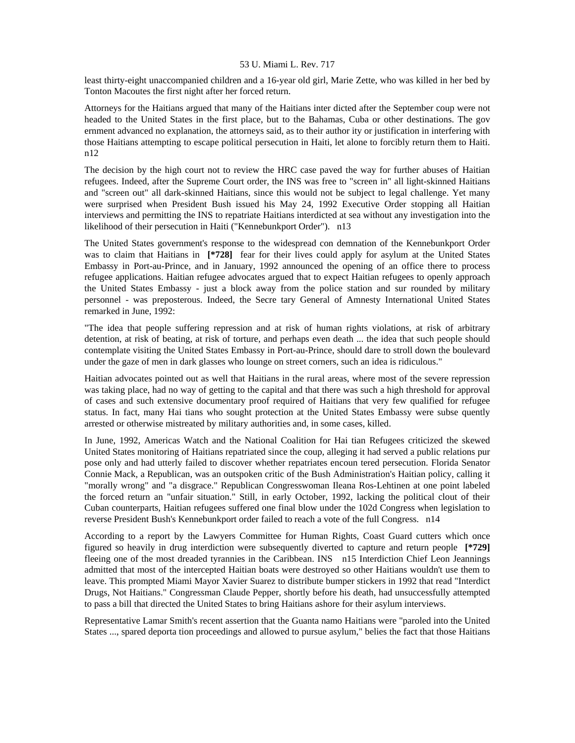least thirty-eight unaccompanied children and a 16-year old girl, Marie Zette, who was killed in her bed by Tonton Macoutes the first night after her forced return.

Attorneys for the Haitians argued that many of the Haitians inter dicted after the September coup were not headed to the United States in the first place, but to the Bahamas, Cuba or other destinations. The gov ernment advanced no explanation, the attorneys said, as to their author ity or justification in interfering with those Haitians attempting to escape political persecution in Haiti, let alone to forcibly return them to Haiti. n12

The decision by the high court not to review the HRC case paved the way for further abuses of Haitian refugees. Indeed, after the Supreme Court order, the INS was free to "screen in" all light-skinned Haitians and "screen out" all dark-skinned Haitians, since this would not be subject to legal challenge. Yet many were surprised when President Bush issued his May 24, 1992 Executive Order stopping all Haitian interviews and permitting the INS to repatriate Haitians interdicted at sea without any investigation into the likelihood of their persecution in Haiti ("Kennebunkport Order"). n13

The United States government's response to the widespread con demnation of the Kennebunkport Order was to claim that Haitians in **[\*728]** fear for their lives could apply for asylum at the United States Embassy in Port-au-Prince, and in January, 1992 announced the opening of an office there to process refugee applications. Haitian refugee advocates argued that to expect Haitian refugees to openly approach the United States Embassy - just a block away from the police station and sur rounded by military personnel - was preposterous. Indeed, the Secre tary General of Amnesty International United States remarked in June, 1992:

"The idea that people suffering repression and at risk of human rights violations, at risk of arbitrary detention, at risk of beating, at risk of torture, and perhaps even death ... the idea that such people should contemplate visiting the United States Embassy in Port-au-Prince, should dare to stroll down the boulevard under the gaze of men in dark glasses who lounge on street corners, such an idea is ridiculous."

Haitian advocates pointed out as well that Haitians in the rural areas, where most of the severe repression was taking place, had no way of getting to the capital and that there was such a high threshold for approval of cases and such extensive documentary proof required of Haitians that very few qualified for refugee status. In fact, many Hai tians who sought protection at the United States Embassy were subse quently arrested or otherwise mistreated by military authorities and, in some cases, killed.

In June, 1992, Americas Watch and the National Coalition for Hai tian Refugees criticized the skewed United States monitoring of Haitians repatriated since the coup, alleging it had served a public relations pur pose only and had utterly failed to discover whether repatriates encoun tered persecution. Florida Senator Connie Mack, a Republican, was an outspoken critic of the Bush Administration's Haitian policy, calling it "morally wrong" and "a disgrace." Republican Congresswoman Ileana Ros-Lehtinen at one point labeled the forced return an "unfair situation." Still, in early October, 1992, lacking the political clout of their Cuban counterparts, Haitian refugees suffered one final blow under the 102d Congress when legislation to reverse President Bush's Kennebunkport order failed to reach a vote of the full Congress. n14

According to a report by the Lawyers Committee for Human Rights, Coast Guard cutters which once figured so heavily in drug interdiction were subsequently diverted to capture and return people **[\*729]**  fleeing one of the most dreaded tyrannies in the Caribbean. INS n15 Interdiction Chief Leon Jeannings admitted that most of the intercepted Haitian boats were destroyed so other Haitians wouldn't use them to leave. This prompted Miami Mayor Xavier Suarez to distribute bumper stickers in 1992 that read "Interdict Drugs, Not Haitians." Congressman Claude Pepper, shortly before his death, had unsuccessfully attempted to pass a bill that directed the United States to bring Haitians ashore for their asylum interviews.

Representative Lamar Smith's recent assertion that the Guanta namo Haitians were "paroled into the United States ..., spared deporta tion proceedings and allowed to pursue asylum," belies the fact that those Haitians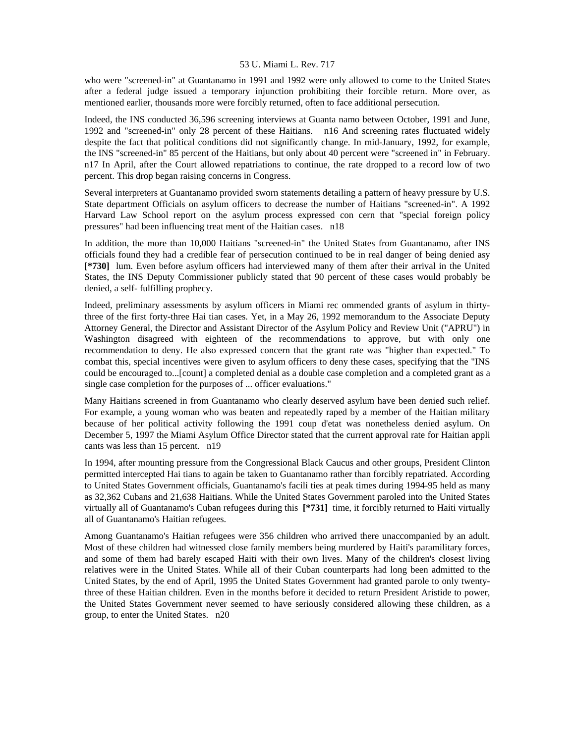who were "screened-in" at Guantanamo in 1991 and 1992 were only allowed to come to the United States after a federal judge issued a temporary injunction prohibiting their forcible return. More over, as mentioned earlier, thousands more were forcibly returned, often to face additional persecution.

Indeed, the INS conducted 36,596 screening interviews at Guanta namo between October, 1991 and June, 1992 and "screened-in" only 28 percent of these Haitians. n16 And screening rates fluctuated widely despite the fact that political conditions did not significantly change. In mid-January, 1992, for example, the INS "screened-in" 85 percent of the Haitians, but only about 40 percent were "screened in" in February. n17 In April, after the Court allowed repatriations to continue, the rate dropped to a record low of two percent. This drop began raising concerns in Congress.

Several interpreters at Guantanamo provided sworn statements detailing a pattern of heavy pressure by U.S. State department Officials on asylum officers to decrease the number of Haitians "screened-in". A 1992 Harvard Law School report on the asylum process expressed con cern that "special foreign policy pressures" had been influencing treat ment of the Haitian cases. n18

In addition, the more than 10,000 Haitians "screened-in" the United States from Guantanamo, after INS officials found they had a credible fear of persecution continued to be in real danger of being denied asy **[\*730]** lum. Even before asylum officers had interviewed many of them after their arrival in the United States, the INS Deputy Commissioner publicly stated that 90 percent of these cases would probably be denied, a self- fulfilling prophecy.

Indeed, preliminary assessments by asylum officers in Miami rec ommended grants of asylum in thirtythree of the first forty-three Hai tian cases. Yet, in a May 26, 1992 memorandum to the Associate Deputy Attorney General, the Director and Assistant Director of the Asylum Policy and Review Unit ("APRU") in Washington disagreed with eighteen of the recommendations to approve, but with only one recommendation to deny. He also expressed concern that the grant rate was "higher than expected." To combat this, special incentives were given to asylum officers to deny these cases, specifying that the "INS could be encouraged to...[count] a completed denial as a double case completion and a completed grant as a single case completion for the purposes of ... officer evaluations."

Many Haitians screened in from Guantanamo who clearly deserved asylum have been denied such relief. For example, a young woman who was beaten and repeatedly raped by a member of the Haitian military because of her political activity following the 1991 coup d'etat was nonetheless denied asylum. On December 5, 1997 the Miami Asylum Office Director stated that the current approval rate for Haitian appli cants was less than 15 percent. n19

In 1994, after mounting pressure from the Congressional Black Caucus and other groups, President Clinton permitted intercepted Hai tians to again be taken to Guantanamo rather than forcibly repatriated. According to United States Government officials, Guantanamo's facili ties at peak times during 1994-95 held as many as 32,362 Cubans and 21,638 Haitians. While the United States Government paroled into the United States virtually all of Guantanamo's Cuban refugees during this **[\*731]** time, it forcibly returned to Haiti virtually all of Guantanamo's Haitian refugees.

Among Guantanamo's Haitian refugees were 356 children who arrived there unaccompanied by an adult. Most of these children had witnessed close family members being murdered by Haiti's paramilitary forces, and some of them had barely escaped Haiti with their own lives. Many of the children's closest living relatives were in the United States. While all of their Cuban counterparts had long been admitted to the United States, by the end of April, 1995 the United States Government had granted parole to only twentythree of these Haitian children. Even in the months before it decided to return President Aristide to power, the United States Government never seemed to have seriously considered allowing these children, as a group, to enter the United States. n20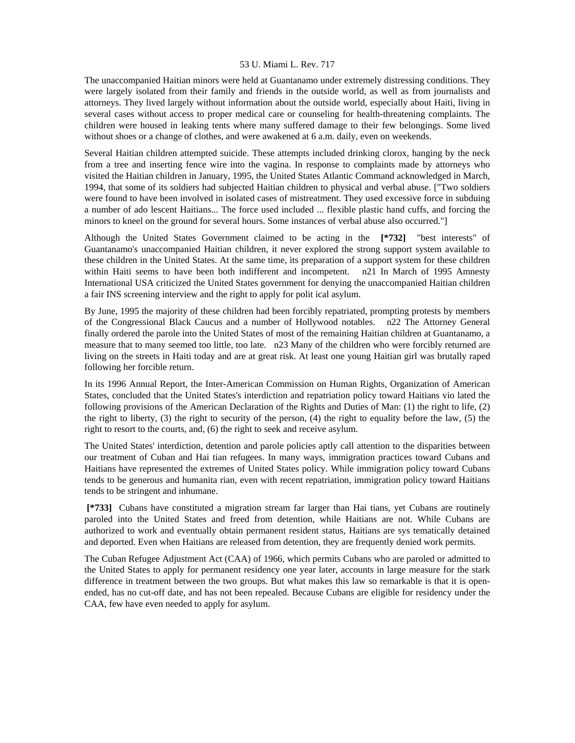The unaccompanied Haitian minors were held at Guantanamo under extremely distressing conditions. They were largely isolated from their family and friends in the outside world, as well as from journalists and attorneys. They lived largely without information about the outside world, especially about Haiti, living in several cases without access to proper medical care or counseling for health-threatening complaints. The children were housed in leaking tents where many suffered damage to their few belongings. Some lived without shoes or a change of clothes, and were awakened at 6 a.m. daily, even on weekends.

Several Haitian children attempted suicide. These attempts included drinking clorox, hanging by the neck from a tree and inserting fence wire into the vagina. In response to complaints made by attorneys who visited the Haitian children in January, 1995, the United States Atlantic Command acknowledged in March, 1994, that some of its soldiers had subjected Haitian children to physical and verbal abuse. ["Two soldiers were found to have been involved in isolated cases of mistreatment. They used excessive force in subduing a number of ado lescent Haitians... The force used included ... flexible plastic hand cuffs, and forcing the minors to kneel on the ground for several hours. Some instances of verbal abuse also occurred."]

Although the United States Government claimed to be acting in the **[\*732]** "best interests" of Guantanamo's unaccompanied Haitian children, it never explored the strong support system available to these children in the United States. At the same time, its preparation of a support system for these children within Haiti seems to have been both indifferent and incompetent. n21 In March of 1995 Amnesty International USA criticized the United States government for denying the unaccompanied Haitian children a fair INS screening interview and the right to apply for polit ical asylum.

By June, 1995 the majority of these children had been forcibly repatriated, prompting protests by members of the Congressional Black Caucus and a number of Hollywood notables. n22 The Attorney General finally ordered the parole into the United States of most of the remaining Haitian children at Guantanamo, a measure that to many seemed too little, too late. n23 Many of the children who were forcibly returned are living on the streets in Haiti today and are at great risk. At least one young Haitian girl was brutally raped following her forcible return.

In its 1996 Annual Report, the Inter-American Commission on Human Rights, Organization of American States, concluded that the United States's interdiction and repatriation policy toward Haitians vio lated the following provisions of the American Declaration of the Rights and Duties of Man: (1) the right to life, (2) the right to liberty, (3) the right to security of the person, (4) the right to equality before the law, (5) the right to resort to the courts, and, (6) the right to seek and receive asylum.

The United States' interdiction, detention and parole policies aptly call attention to the disparities between our treatment of Cuban and Hai tian refugees. In many ways, immigration practices toward Cubans and Haitians have represented the extremes of United States policy. While immigration policy toward Cubans tends to be generous and humanita rian, even with recent repatriation, immigration policy toward Haitians tends to be stringent and inhumane.

 **[\*733]** Cubans have constituted a migration stream far larger than Hai tians, yet Cubans are routinely paroled into the United States and freed from detention, while Haitians are not. While Cubans are authorized to work and eventually obtain permanent resident status, Haitians are sys tematically detained and deported. Even when Haitians are released from detention, they are frequently denied work permits.

The Cuban Refugee Adjustment Act (CAA) of 1966, which permits Cubans who are paroled or admitted to the United States to apply for permanent residency one year later, accounts in large measure for the stark difference in treatment between the two groups. But what makes this law so remarkable is that it is openended, has no cut-off date, and has not been repealed. Because Cubans are eligible for residency under the CAA, few have even needed to apply for asylum.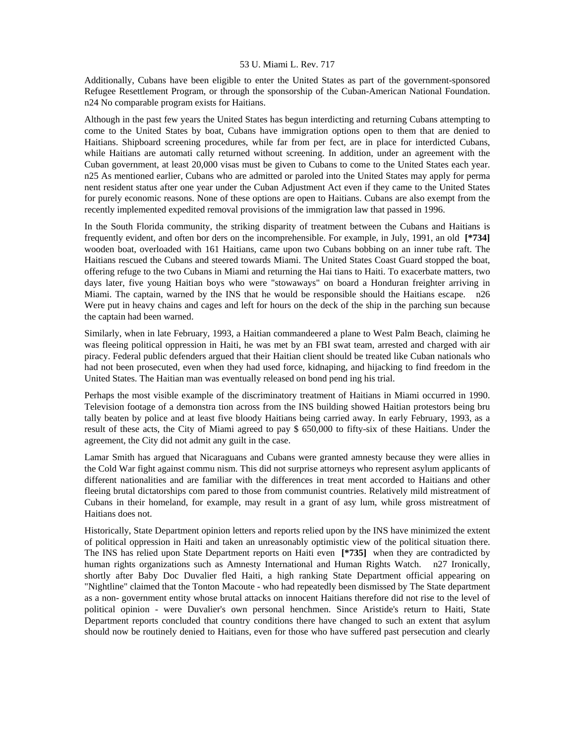Additionally, Cubans have been eligible to enter the United States as part of the government-sponsored Refugee Resettlement Program, or through the sponsorship of the Cuban-American National Foundation. n24 No comparable program exists for Haitians.

Although in the past few years the United States has begun interdicting and returning Cubans attempting to come to the United States by boat, Cubans have immigration options open to them that are denied to Haitians. Shipboard screening procedures, while far from per fect, are in place for interdicted Cubans, while Haitians are automati cally returned without screening. In addition, under an agreement with the Cuban government, at least 20,000 visas must be given to Cubans to come to the United States each year. n25 As mentioned earlier, Cubans who are admitted or paroled into the United States may apply for perma nent resident status after one year under the Cuban Adjustment Act even if they came to the United States for purely economic reasons. None of these options are open to Haitians. Cubans are also exempt from the recently implemented expedited removal provisions of the immigration law that passed in 1996.

In the South Florida community, the striking disparity of treatment between the Cubans and Haitians is frequently evident, and often bor ders on the incomprehensible. For example, in July, 1991, an old **[\*734]**  wooden boat, overloaded with 161 Haitians, came upon two Cubans bobbing on an inner tube raft. The Haitians rescued the Cubans and steered towards Miami. The United States Coast Guard stopped the boat, offering refuge to the two Cubans in Miami and returning the Hai tians to Haiti. To exacerbate matters, two days later, five young Haitian boys who were "stowaways" on board a Honduran freighter arriving in Miami. The captain, warned by the INS that he would be responsible should the Haitians escape. n26 Were put in heavy chains and cages and left for hours on the deck of the ship in the parching sun because the captain had been warned.

Similarly, when in late February, 1993, a Haitian commandeered a plane to West Palm Beach, claiming he was fleeing political oppression in Haiti, he was met by an FBI swat team, arrested and charged with air piracy. Federal public defenders argued that their Haitian client should be treated like Cuban nationals who had not been prosecuted, even when they had used force, kidnaping, and hijacking to find freedom in the United States. The Haitian man was eventually released on bond pend ing his trial.

Perhaps the most visible example of the discriminatory treatment of Haitians in Miami occurred in 1990. Television footage of a demonstra tion across from the INS building showed Haitian protestors being bru tally beaten by police and at least five bloody Haitians being carried away. In early February, 1993, as a result of these acts, the City of Miami agreed to pay \$ 650,000 to fifty-six of these Haitians. Under the agreement, the City did not admit any guilt in the case.

Lamar Smith has argued that Nicaraguans and Cubans were granted amnesty because they were allies in the Cold War fight against commu nism. This did not surprise attorneys who represent asylum applicants of different nationalities and are familiar with the differences in treat ment accorded to Haitians and other fleeing brutal dictatorships com pared to those from communist countries. Relatively mild mistreatment of Cubans in their homeland, for example, may result in a grant of asy lum, while gross mistreatment of Haitians does not.

Historically, State Department opinion letters and reports relied upon by the INS have minimized the extent of political oppression in Haiti and taken an unreasonably optimistic view of the political situation there. The INS has relied upon State Department reports on Haiti even **[\*735]** when they are contradicted by human rights organizations such as Amnesty International and Human Rights Watch. n27 Ironically, shortly after Baby Doc Duvalier fled Haiti, a high ranking State Department official appearing on "Nightline" claimed that the Tonton Macoute - who had repeatedly been dismissed by The State department as a non- government entity whose brutal attacks on innocent Haitians therefore did not rise to the level of political opinion - were Duvalier's own personal henchmen. Since Aristide's return to Haiti, State Department reports concluded that country conditions there have changed to such an extent that asylum should now be routinely denied to Haitians, even for those who have suffered past persecution and clearly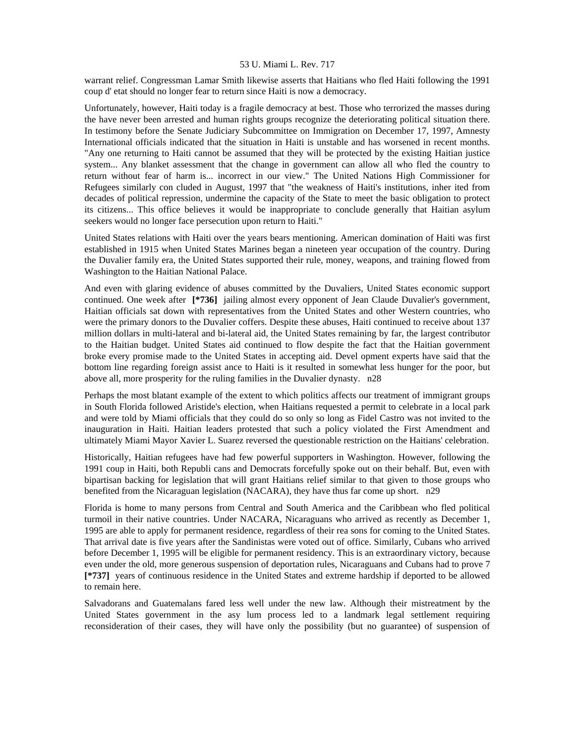warrant relief. Congressman Lamar Smith likewise asserts that Haitians who fled Haiti following the 1991 coup d' etat should no longer fear to return since Haiti is now a democracy.

Unfortunately, however, Haiti today is a fragile democracy at best. Those who terrorized the masses during the have never been arrested and human rights groups recognize the deteriorating political situation there. In testimony before the Senate Judiciary Subcommittee on Immigration on December 17, 1997, Amnesty International officials indicated that the situation in Haiti is unstable and has worsened in recent months. "Any one returning to Haiti cannot be assumed that they will be protected by the existing Haitian justice system... Any blanket assessment that the change in government can allow all who fled the country to return without fear of harm is... incorrect in our view." The United Nations High Commissioner for Refugees similarly con cluded in August, 1997 that "the weakness of Haiti's institutions, inher ited from decades of political repression, undermine the capacity of the State to meet the basic obligation to protect its citizens... This office believes it would be inappropriate to conclude generally that Haitian asylum seekers would no longer face persecution upon return to Haiti."

United States relations with Haiti over the years bears mentioning. American domination of Haiti was first established in 1915 when United States Marines began a nineteen year occupation of the country. During the Duvalier family era, the United States supported their rule, money, weapons, and training flowed from Washington to the Haitian National Palace.

And even with glaring evidence of abuses committed by the Duvaliers, United States economic support continued. One week after **[\*736]** jailing almost every opponent of Jean Claude Duvalier's government, Haitian officials sat down with representatives from the United States and other Western countries, who were the primary donors to the Duvalier coffers. Despite these abuses, Haiti continued to receive about 137 million dollars in multi-lateral and bi-lateral aid, the United States remaining by far, the largest contributor to the Haitian budget. United States aid continued to flow despite the fact that the Haitian government broke every promise made to the United States in accepting aid. Devel opment experts have said that the bottom line regarding foreign assist ance to Haiti is it resulted in somewhat less hunger for the poor, but above all, more prosperity for the ruling families in the Duvalier dynasty. n28

Perhaps the most blatant example of the extent to which politics affects our treatment of immigrant groups in South Florida followed Aristide's election, when Haitians requested a permit to celebrate in a local park and were told by Miami officials that they could do so only so long as Fidel Castro was not invited to the inauguration in Haiti. Haitian leaders protested that such a policy violated the First Amendment and ultimately Miami Mayor Xavier L. Suarez reversed the questionable restriction on the Haitians' celebration.

Historically, Haitian refugees have had few powerful supporters in Washington. However, following the 1991 coup in Haiti, both Republi cans and Democrats forcefully spoke out on their behalf. But, even with bipartisan backing for legislation that will grant Haitians relief similar to that given to those groups who benefited from the Nicaraguan legislation (NACARA), they have thus far come up short. n29

Florida is home to many persons from Central and South America and the Caribbean who fled political turmoil in their native countries. Under NACARA, Nicaraguans who arrived as recently as December 1, 1995 are able to apply for permanent residence, regardless of their rea sons for coming to the United States. That arrival date is five years after the Sandinistas were voted out of office. Similarly, Cubans who arrived before December 1, 1995 will be eligible for permanent residency. This is an extraordinary victory, because even under the old, more generous suspension of deportation rules, Nicaraguans and Cubans had to prove 7 **[\*737]** years of continuous residence in the United States and extreme hardship if deported to be allowed to remain here.

Salvadorans and Guatemalans fared less well under the new law. Although their mistreatment by the United States government in the asy lum process led to a landmark legal settlement requiring reconsideration of their cases, they will have only the possibility (but no guarantee) of suspension of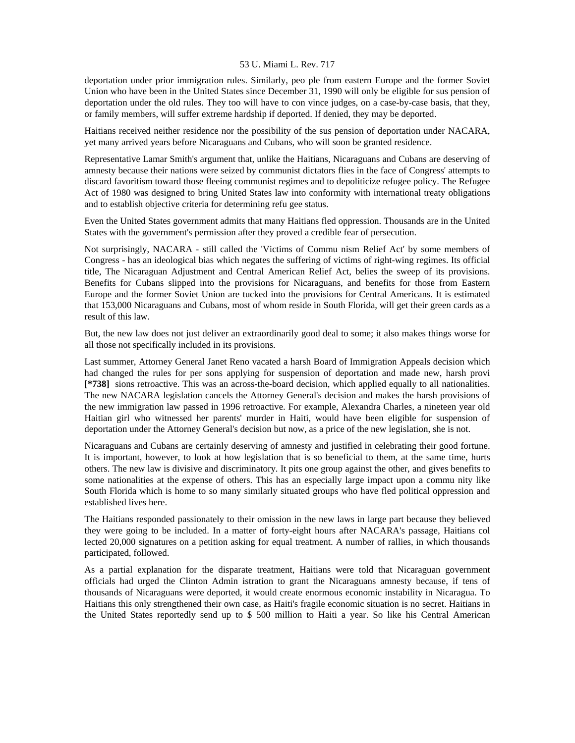deportation under prior immigration rules. Similarly, peo ple from eastern Europe and the former Soviet Union who have been in the United States since December 31, 1990 will only be eligible for sus pension of deportation under the old rules. They too will have to con vince judges, on a case-by-case basis, that they, or family members, will suffer extreme hardship if deported. If denied, they may be deported.

Haitians received neither residence nor the possibility of the sus pension of deportation under NACARA, yet many arrived years before Nicaraguans and Cubans, who will soon be granted residence.

Representative Lamar Smith's argument that, unlike the Haitians, Nicaraguans and Cubans are deserving of amnesty because their nations were seized by communist dictators flies in the face of Congress' attempts to discard favoritism toward those fleeing communist regimes and to depoliticize refugee policy. The Refugee Act of 1980 was designed to bring United States law into conformity with international treaty obligations and to establish objective criteria for determining refu gee status.

Even the United States government admits that many Haitians fled oppression. Thousands are in the United States with the government's permission after they proved a credible fear of persecution.

Not surprisingly, NACARA - still called the 'Victims of Commu nism Relief Act' by some members of Congress - has an ideological bias which negates the suffering of victims of right-wing regimes. Its official title, The Nicaraguan Adjustment and Central American Relief Act, belies the sweep of its provisions. Benefits for Cubans slipped into the provisions for Nicaraguans, and benefits for those from Eastern Europe and the former Soviet Union are tucked into the provisions for Central Americans. It is estimated that 153,000 Nicaraguans and Cubans, most of whom reside in South Florida, will get their green cards as a result of this law.

But, the new law does not just deliver an extraordinarily good deal to some; it also makes things worse for all those not specifically included in its provisions.

Last summer, Attorney General Janet Reno vacated a harsh Board of Immigration Appeals decision which had changed the rules for per sons applying for suspension of deportation and made new, harsh provi **[\*738]** sions retroactive. This was an across-the-board decision, which applied equally to all nationalities. The new NACARA legislation cancels the Attorney General's decision and makes the harsh provisions of the new immigration law passed in 1996 retroactive. For example, Alexandra Charles, a nineteen year old Haitian girl who witnessed her parents' murder in Haiti, would have been eligible for suspension of deportation under the Attorney General's decision but now, as a price of the new legislation, she is not.

Nicaraguans and Cubans are certainly deserving of amnesty and justified in celebrating their good fortune. It is important, however, to look at how legislation that is so beneficial to them, at the same time, hurts others. The new law is divisive and discriminatory. It pits one group against the other, and gives benefits to some nationalities at the expense of others. This has an especially large impact upon a commu nity like South Florida which is home to so many similarly situated groups who have fled political oppression and established lives here.

The Haitians responded passionately to their omission in the new laws in large part because they believed they were going to be included. In a matter of forty-eight hours after NACARA's passage, Haitians col lected 20,000 signatures on a petition asking for equal treatment. A number of rallies, in which thousands participated, followed.

As a partial explanation for the disparate treatment, Haitians were told that Nicaraguan government officials had urged the Clinton Admin istration to grant the Nicaraguans amnesty because, if tens of thousands of Nicaraguans were deported, it would create enormous economic instability in Nicaragua. To Haitians this only strengthened their own case, as Haiti's fragile economic situation is no secret. Haitians in the United States reportedly send up to \$ 500 million to Haiti a year. So like his Central American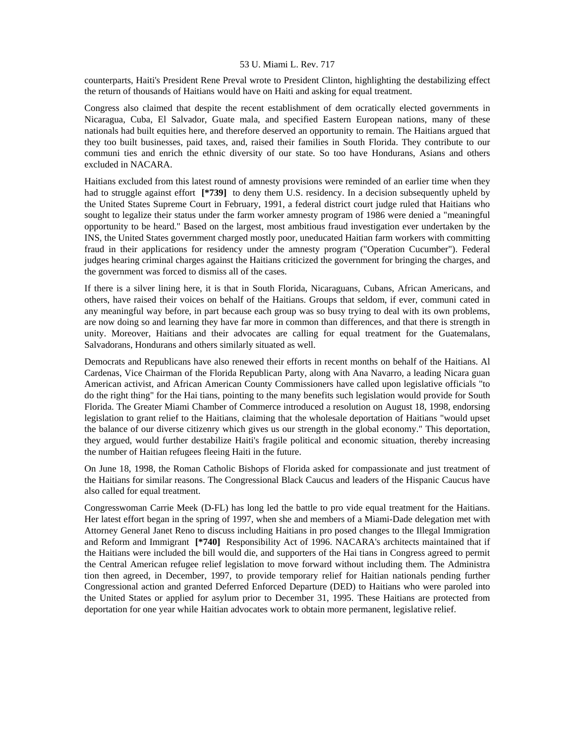counterparts, Haiti's President Rene Preval wrote to President Clinton, highlighting the destabilizing effect the return of thousands of Haitians would have on Haiti and asking for equal treatment.

Congress also claimed that despite the recent establishment of dem ocratically elected governments in Nicaragua, Cuba, El Salvador, Guate mala, and specified Eastern European nations, many of these nationals had built equities here, and therefore deserved an opportunity to remain. The Haitians argued that they too built businesses, paid taxes, and, raised their families in South Florida. They contribute to our communi ties and enrich the ethnic diversity of our state. So too have Hondurans, Asians and others excluded in NACARA.

Haitians excluded from this latest round of amnesty provisions were reminded of an earlier time when they had to struggle against effort **[\*739]** to deny them U.S. residency. In a decision subsequently upheld by the United States Supreme Court in February, 1991, a federal district court judge ruled that Haitians who sought to legalize their status under the farm worker amnesty program of 1986 were denied a "meaningful opportunity to be heard." Based on the largest, most ambitious fraud investigation ever undertaken by the INS, the United States government charged mostly poor, uneducated Haitian farm workers with committing fraud in their applications for residency under the amnesty program ("Operation Cucumber"). Federal judges hearing criminal charges against the Haitians criticized the government for bringing the charges, and the government was forced to dismiss all of the cases.

If there is a silver lining here, it is that in South Florida, Nicaraguans, Cubans, African Americans, and others, have raised their voices on behalf of the Haitians. Groups that seldom, if ever, communi cated in any meaningful way before, in part because each group was so busy trying to deal with its own problems, are now doing so and learning they have far more in common than differences, and that there is strength in unity. Moreover, Haitians and their advocates are calling for equal treatment for the Guatemalans, Salvadorans, Hondurans and others similarly situated as well.

Democrats and Republicans have also renewed their efforts in recent months on behalf of the Haitians. Al Cardenas, Vice Chairman of the Florida Republican Party, along with Ana Navarro, a leading Nicara guan American activist, and African American County Commissioners have called upon legislative officials "to do the right thing" for the Hai tians, pointing to the many benefits such legislation would provide for South Florida. The Greater Miami Chamber of Commerce introduced a resolution on August 18, 1998, endorsing legislation to grant relief to the Haitians, claiming that the wholesale deportation of Haitians "would upset the balance of our diverse citizenry which gives us our strength in the global economy." This deportation, they argued, would further destabilize Haiti's fragile political and economic situation, thereby increasing the number of Haitian refugees fleeing Haiti in the future.

On June 18, 1998, the Roman Catholic Bishops of Florida asked for compassionate and just treatment of the Haitians for similar reasons. The Congressional Black Caucus and leaders of the Hispanic Caucus have also called for equal treatment.

Congresswoman Carrie Meek (D-FL) has long led the battle to pro vide equal treatment for the Haitians. Her latest effort began in the spring of 1997, when she and members of a Miami-Dade delegation met with Attorney General Janet Reno to discuss including Haitians in pro posed changes to the Illegal Immigration and Reform and Immigrant **[\*740]** Responsibility Act of 1996. NACARA's architects maintained that if the Haitians were included the bill would die, and supporters of the Hai tians in Congress agreed to permit the Central American refugee relief legislation to move forward without including them. The Administra tion then agreed, in December, 1997, to provide temporary relief for Haitian nationals pending further Congressional action and granted Deferred Enforced Departure (DED) to Haitians who were paroled into the United States or applied for asylum prior to December 31, 1995. These Haitians are protected from deportation for one year while Haitian advocates work to obtain more permanent, legislative relief.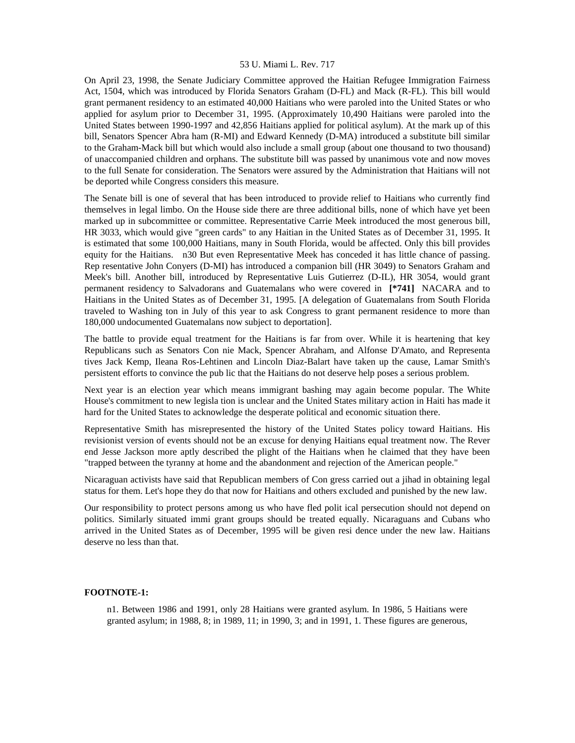On April 23, 1998, the Senate Judiciary Committee approved the Haitian Refugee Immigration Fairness Act, 1504, which was introduced by Florida Senators Graham (D-FL) and Mack (R-FL). This bill would grant permanent residency to an estimated 40,000 Haitians who were paroled into the United States or who applied for asylum prior to December 31, 1995. (Approximately 10,490 Haitians were paroled into the United States between 1990-1997 and 42,856 Haitians applied for political asylum). At the mark up of this bill, Senators Spencer Abra ham (R-MI) and Edward Kennedy (D-MA) introduced a substitute bill similar to the Graham-Mack bill but which would also include a small group (about one thousand to two thousand) of unaccompanied children and orphans. The substitute bill was passed by unanimous vote and now moves to the full Senate for consideration. The Senators were assured by the Administration that Haitians will not be deported while Congress considers this measure.

The Senate bill is one of several that has been introduced to provide relief to Haitians who currently find themselves in legal limbo. On the House side there are three additional bills, none of which have yet been marked up in subcommittee or committee. Representative Carrie Meek introduced the most generous bill, HR 3033, which would give "green cards" to any Haitian in the United States as of December 31, 1995. It is estimated that some 100,000 Haitians, many in South Florida, would be affected. Only this bill provides equity for the Haitians. n30 But even Representative Meek has conceded it has little chance of passing. Rep resentative John Conyers (D-MI) has introduced a companion bill (HR 3049) to Senators Graham and Meek's bill. Another bill, introduced by Representative Luis Gutierrez (D-IL), HR 3054, would grant permanent residency to Salvadorans and Guatemalans who were covered in **[\*741]** NACARA and to Haitians in the United States as of December 31, 1995. [A delegation of Guatemalans from South Florida traveled to Washing ton in July of this year to ask Congress to grant permanent residence to more than 180,000 undocumented Guatemalans now subject to deportation].

The battle to provide equal treatment for the Haitians is far from over. While it is heartening that key Republicans such as Senators Con nie Mack, Spencer Abraham, and Alfonse D'Amato, and Representa tives Jack Kemp, Ileana Ros-Lehtinen and Lincoln Diaz-Balart have taken up the cause, Lamar Smith's persistent efforts to convince the pub lic that the Haitians do not deserve help poses a serious problem.

Next year is an election year which means immigrant bashing may again become popular. The White House's commitment to new legisla tion is unclear and the United States military action in Haiti has made it hard for the United States to acknowledge the desperate political and economic situation there.

Representative Smith has misrepresented the history of the United States policy toward Haitians. His revisionist version of events should not be an excuse for denying Haitians equal treatment now. The Rever end Jesse Jackson more aptly described the plight of the Haitians when he claimed that they have been "trapped between the tyranny at home and the abandonment and rejection of the American people."

Nicaraguan activists have said that Republican members of Con gress carried out a jihad in obtaining legal status for them. Let's hope they do that now for Haitians and others excluded and punished by the new law.

Our responsibility to protect persons among us who have fled polit ical persecution should not depend on politics. Similarly situated immi grant groups should be treated equally. Nicaraguans and Cubans who arrived in the United States as of December, 1995 will be given resi dence under the new law. Haitians deserve no less than that.

#### **FOOTNOTE-1:**

n1. Between 1986 and 1991, only 28 Haitians were granted asylum. In 1986, 5 Haitians were granted asylum; in 1988, 8; in 1989, 11; in 1990, 3; and in 1991, 1. These figures are generous,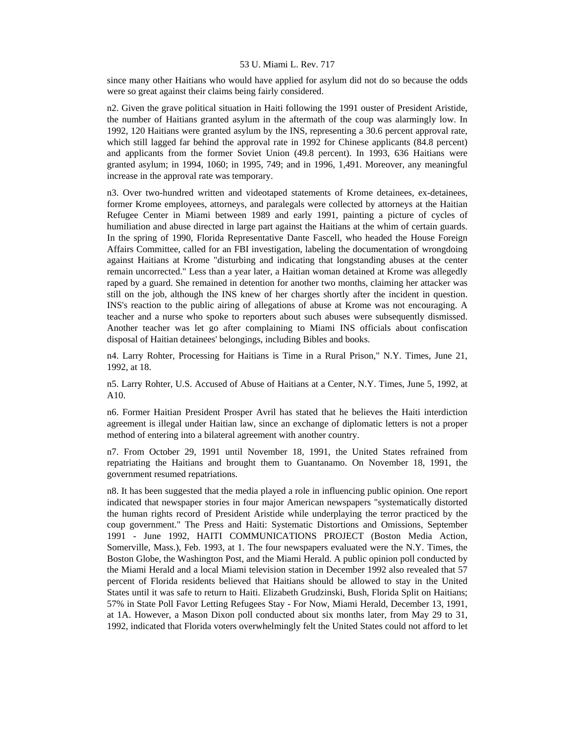since many other Haitians who would have applied for asylum did not do so because the odds were so great against their claims being fairly considered.

n2. Given the grave political situation in Haiti following the 1991 ouster of President Aristide, the number of Haitians granted asylum in the aftermath of the coup was alarmingly low. In 1992, 120 Haitians were granted asylum by the INS, representing a 30.6 percent approval rate, which still lagged far behind the approval rate in 1992 for Chinese applicants (84.8 percent) and applicants from the former Soviet Union (49.8 percent). In 1993, 636 Haitians were granted asylum; in 1994, 1060; in 1995, 749; and in 1996, 1,491. Moreover, any meaningful increase in the approval rate was temporary.

n3. Over two-hundred written and videotaped statements of Krome detainees, ex-detainees, former Krome employees, attorneys, and paralegals were collected by attorneys at the Haitian Refugee Center in Miami between 1989 and early 1991, painting a picture of cycles of humiliation and abuse directed in large part against the Haitians at the whim of certain guards. In the spring of 1990, Florida Representative Dante Fascell, who headed the House Foreign Affairs Committee, called for an FBI investigation, labeling the documentation of wrongdoing against Haitians at Krome "disturbing and indicating that longstanding abuses at the center remain uncorrected." Less than a year later, a Haitian woman detained at Krome was allegedly raped by a guard. She remained in detention for another two months, claiming her attacker was still on the job, although the INS knew of her charges shortly after the incident in question. INS's reaction to the public airing of allegations of abuse at Krome was not encouraging. A teacher and a nurse who spoke to reporters about such abuses were subsequently dismissed. Another teacher was let go after complaining to Miami INS officials about confiscation disposal of Haitian detainees' belongings, including Bibles and books.

n4. Larry Rohter, Processing for Haitians is Time in a Rural Prison," N.Y. Times, June 21, 1992, at 18.

n5. Larry Rohter, U.S. Accused of Abuse of Haitians at a Center, N.Y. Times, June 5, 1992, at A10.

n6. Former Haitian President Prosper Avril has stated that he believes the Haiti interdiction agreement is illegal under Haitian law, since an exchange of diplomatic letters is not a proper method of entering into a bilateral agreement with another country.

n7. From October 29, 1991 until November 18, 1991, the United States refrained from repatriating the Haitians and brought them to Guantanamo. On November 18, 1991, the government resumed repatriations.

n8. It has been suggested that the media played a role in influencing public opinion. One report indicated that newspaper stories in four major American newspapers "systematically distorted the human rights record of President Aristide while underplaying the terror practiced by the coup government." The Press and Haiti: Systematic Distortions and Omissions, September 1991 - June 1992, HAITI COMMUNICATIONS PROJECT (Boston Media Action, Somerville, Mass.), Feb. 1993, at 1. The four newspapers evaluated were the N.Y. Times, the Boston Globe, the Washington Post, and the Miami Herald. A public opinion poll conducted by the Miami Herald and a local Miami television station in December 1992 also revealed that 57 percent of Florida residents believed that Haitians should be allowed to stay in the United States until it was safe to return to Haiti. Elizabeth Grudzinski, Bush, Florida Split on Haitians; 57% in State Poll Favor Letting Refugees Stay - For Now, Miami Herald, December 13, 1991, at 1A. However, a Mason Dixon poll conducted about six months later, from May 29 to 31, 1992, indicated that Florida voters overwhelmingly felt the United States could not afford to let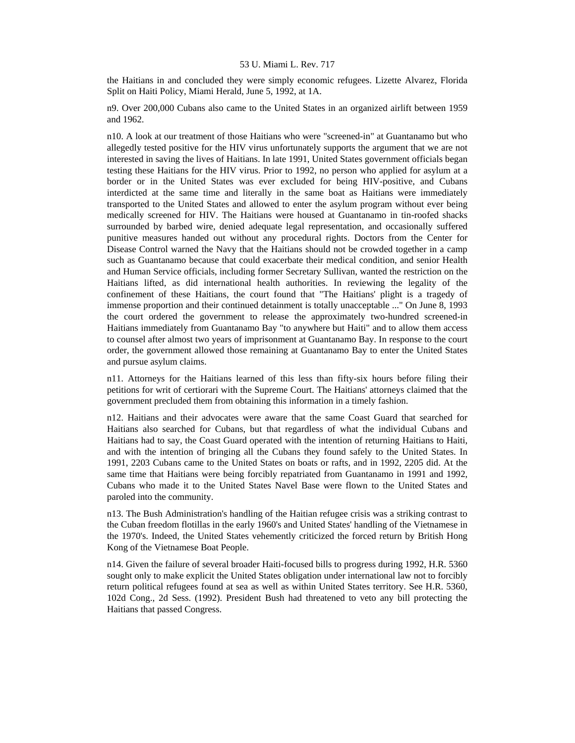the Haitians in and concluded they were simply economic refugees. Lizette Alvarez, Florida Split on Haiti Policy, Miami Herald, June 5, 1992, at 1A.

n9. Over 200,000 Cubans also came to the United States in an organized airlift between 1959 and 1962.

n10. A look at our treatment of those Haitians who were "screened-in" at Guantanamo but who allegedly tested positive for the HIV virus unfortunately supports the argument that we are not interested in saving the lives of Haitians. In late 1991, United States government officials began testing these Haitians for the HIV virus. Prior to 1992, no person who applied for asylum at a border or in the United States was ever excluded for being HIV-positive, and Cubans interdicted at the same time and literally in the same boat as Haitians were immediately transported to the United States and allowed to enter the asylum program without ever being medically screened for HIV. The Haitians were housed at Guantanamo in tin-roofed shacks surrounded by barbed wire, denied adequate legal representation, and occasionally suffered punitive measures handed out without any procedural rights. Doctors from the Center for Disease Control warned the Navy that the Haitians should not be crowded together in a camp such as Guantanamo because that could exacerbate their medical condition, and senior Health and Human Service officials, including former Secretary Sullivan, wanted the restriction on the Haitians lifted, as did international health authorities. In reviewing the legality of the confinement of these Haitians, the court found that "The Haitians' plight is a tragedy of immense proportion and their continued detainment is totally unacceptable ..." On June 8, 1993 the court ordered the government to release the approximately two-hundred screened-in Haitians immediately from Guantanamo Bay "to anywhere but Haiti" and to allow them access to counsel after almost two years of imprisonment at Guantanamo Bay. In response to the court order, the government allowed those remaining at Guantanamo Bay to enter the United States and pursue asylum claims.

n11. Attorneys for the Haitians learned of this less than fifty-six hours before filing their petitions for writ of certiorari with the Supreme Court. The Haitians' attorneys claimed that the government precluded them from obtaining this information in a timely fashion.

n12. Haitians and their advocates were aware that the same Coast Guard that searched for Haitians also searched for Cubans, but that regardless of what the individual Cubans and Haitians had to say, the Coast Guard operated with the intention of returning Haitians to Haiti, and with the intention of bringing all the Cubans they found safely to the United States. In 1991, 2203 Cubans came to the United States on boats or rafts, and in 1992, 2205 did. At the same time that Haitians were being forcibly repatriated from Guantanamo in 1991 and 1992, Cubans who made it to the United States Navel Base were flown to the United States and paroled into the community.

n13. The Bush Administration's handling of the Haitian refugee crisis was a striking contrast to the Cuban freedom flotillas in the early 1960's and United States' handling of the Vietnamese in the 1970's. Indeed, the United States vehemently criticized the forced return by British Hong Kong of the Vietnamese Boat People.

n14. Given the failure of several broader Haiti-focused bills to progress during 1992, H.R. 5360 sought only to make explicit the United States obligation under international law not to forcibly return political refugees found at sea as well as within United States territory. See H.R. 5360, 102d Cong., 2d Sess. (1992). President Bush had threatened to veto any bill protecting the Haitians that passed Congress.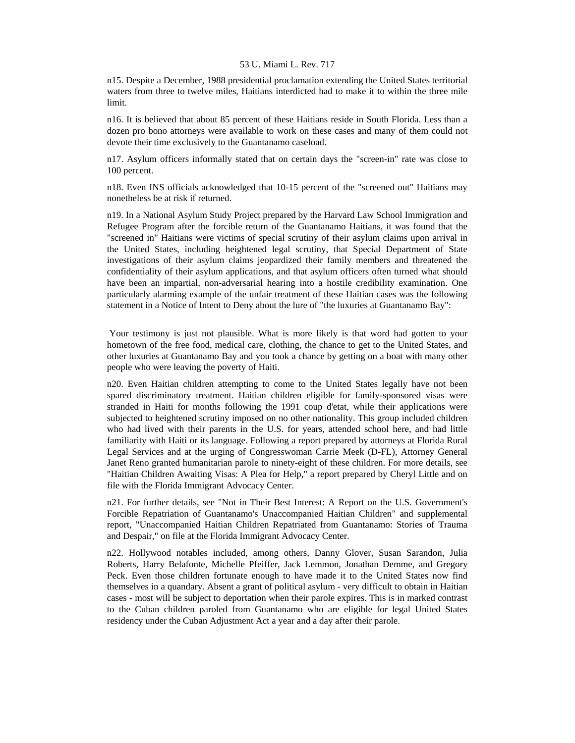n15. Despite a December, 1988 presidential proclamation extending the United States territorial waters from three to twelve miles, Haitians interdicted had to make it to within the three mile limit.

n16. It is believed that about 85 percent of these Haitians reside in South Florida. Less than a dozen pro bono attorneys were available to work on these cases and many of them could not devote their time exclusively to the Guantanamo caseload.

n17. Asylum officers informally stated that on certain days the "screen-in" rate was close to 100 percent.

n18. Even INS officials acknowledged that 10-15 percent of the "screened out" Haitians may nonetheless be at risk if returned.

n19. In a National Asylum Study Project prepared by the Harvard Law School Immigration and Refugee Program after the forcible return of the Guantanamo Haitians, it was found that the "screened in" Haitians were victims of special scrutiny of their asylum claims upon arrival in the United States, including heightened legal scrutiny, that Special Department of State investigations of their asylum claims jeopardized their family members and threatened the confidentiality of their asylum applications, and that asylum officers often turned what should have been an impartial, non-adversarial hearing into a hostile credibility examination. One particularly alarming example of the unfair treatment of these Haitian cases was the following statement in a Notice of Intent to Deny about the lure of "the luxuries at Guantanamo Bay":

 Your testimony is just not plausible. What is more likely is that word had gotten to your hometown of the free food, medical care, clothing, the chance to get to the United States, and other luxuries at Guantanamo Bay and you took a chance by getting on a boat with many other people who were leaving the poverty of Haiti.

n20. Even Haitian children attempting to come to the United States legally have not been spared discriminatory treatment. Haitian children eligible for family-sponsored visas were stranded in Haiti for months following the 1991 coup d'etat, while their applications were subjected to heightened scrutiny imposed on no other nationality. This group included children who had lived with their parents in the U.S. for years, attended school here, and had little familiarity with Haiti or its language. Following a report prepared by attorneys at Florida Rural Legal Services and at the urging of Congresswoman Carrie Meek (D-FL), Attorney General Janet Reno granted humanitarian parole to ninety-eight of these children. For more details, see "Haitian Children Awaiting Visas: A Plea for Help," a report prepared by Cheryl Little and on file with the Florida Immigrant Advocacy Center.

n21. For further details, see "Not in Their Best Interest: A Report on the U.S. Government's Forcible Repatriation of Guantanamo's Unaccompanied Haitian Children" and supplemental report, "Unaccompanied Haitian Children Repatriated from Guantanamo: Stories of Trauma and Despair," on file at the Florida Immigrant Advocacy Center.

n22. Hollywood notables included, among others, Danny Glover, Susan Sarandon, Julia Roberts, Harry Belafonte, Michelle Pfeiffer, Jack Lemmon, Jonathan Demme, and Gregory Peck. Even those children fortunate enough to have made it to the United States now find themselves in a quandary. Absent a grant of political asylum - very difficult to obtain in Haitian cases - most will be subject to deportation when their parole expires. This is in marked contrast to the Cuban children paroled from Guantanamo who are eligible for legal United States residency under the Cuban Adjustment Act a year and a day after their parole.